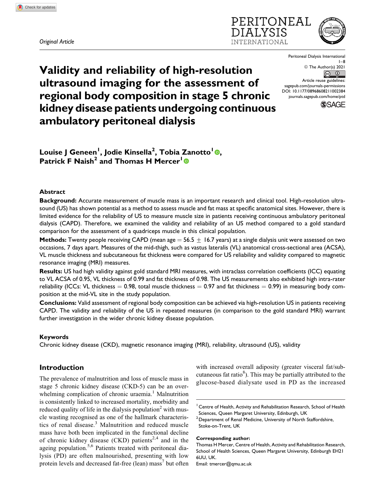*Original Article*





Peritoneal Dialysis International 1–8 ª The Author(s) 2021  $\bigcirc$  $\odot$ Article reuse guidelines:

[sagepub.com/journals-permissions](https://sagepub.com/journals-permissions) [DOI: 10.1177/08968608211002384](https://doi.org/10.1177/08968608211002384) [journals.sagepub.com/home/ptd](http://journals.sagepub.com/home/ptd)



# **Validity and reliability of high-resolution ultrasound imaging for the assessment of regional body composition in stage 5 chronic kidney disease patients undergoing continuous ambulatory peritoneal dialysis**

**Louise J Geneen<sup>1</sup> , Jodie Kinsella<sup>2</sup> , Tobia Zanotto<sup>1</sup> , Patrick F Naish<sup>2</sup> and Thomas H Mercer<sup>1</sup>**

# **Abstract**

**Background:** Accurate measurement of muscle mass is an important research and clinical tool. High-resolution ultrasound (US) has shown potential as a method to assess muscle and fat mass at specific anatomical sites. However, there is limited evidence for the reliability of US to measure muscle size in patients receiving continuous ambulatory peritoneal dialysis (CAPD). Therefore, we examined the validity and reliability of an US method compared to a gold standard comparison for the assessment of a quadriceps muscle in this clinical population.

**Methods:** Twenty people receiving CAPD (mean age  $=$  56.5  $+$  16.7 years) at a single dialysis unit were assessed on two occasions, 7 days apart. Measures of the mid-thigh, such as vastus lateralis (VL) anatomical cross-sectional area (ACSA), VL muscle thickness and subcutaneous fat thickness were compared for US reliability and validity compared to magnetic resonance imaging (MRI) measures.

**Results:** US had high validity against gold standard MRI measures, with intraclass correlation coefficients (ICC) equating to VL ACSA of 0.95, VL thickness of 0.99 and fat thickness of 0.98. The US measurements also exhibited high intra-rater reliability (ICCs: VL thickness  $= 0.98$ , total muscle thickness  $= 0.97$  and fat thickness  $= 0.99$ ) in measuring body composition at the mid-VL site in the study population.

**Conclusions:** Valid assessment of regional body composition can be achieved via high-resolution US in patients receiving CAPD. The validity and reliability of the US in repeated measures (in comparison to the gold standard MRI) warrant further investigation in the wider chronic kidney disease population.

# **Keywords**

Chronic kidney disease (CKD), magnetic resonance imaging (MRI), reliability, ultrasound (US), validity

# **Introduction**

The prevalence of malnutrition and loss of muscle mass in stage 5 chronic kidney disease (CKD-5) can be an overwhelming complication of chronic uraemia.<sup>1</sup> Malnutrition is consistently linked to increased mortality, morbidity and reduced quality of life in the dialysis population<sup>2</sup> with muscle wasting recognised as one of the hallmark characteristics of renal disease.<sup>3</sup> Malnutrition and reduced muscle mass have both been implicated in the functional decline of chronic kidney disease  $(CKD)$  patients<sup>2,4</sup> and in the ageing population.<sup>5,6</sup> Patients treated with peritoneal dialysis (PD) are often malnourished, presenting with low protein levels and decreased fat-free (lean) mass<sup>7</sup> but often

with increased overall adiposity (greater visceral fat/subcutaneous fat ratio<sup>8</sup>). This may be partially attributed to the glucose-based dialysate used in PD as the increased

<sup>1</sup> Centre of Health, Activity and Rehabilitation Research, School of Health Sciences, Queen Margaret University, Edinburgh, UK

<sup>2</sup> Department of Renal Medicine, University of North Staffordshire, Stoke-on-Trent, UK

# **Corresponding author:**

Thomas H Mercer, Centre of Health, Activity and Rehabilitation Research, School of Health Sciences, Queen Margaret University, Edinburgh EH21 6UU, UK.

Email: [tmercer@qmu.ac.uk](mailto:tmercer@qmu.ac.uk)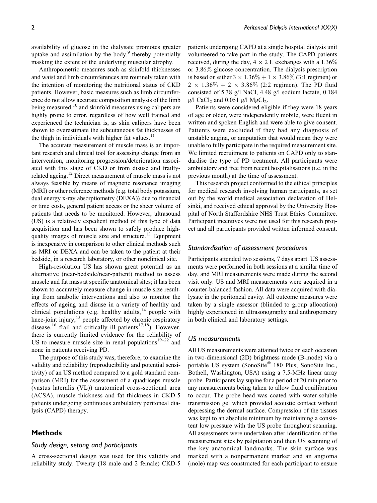availability of glucose in the dialysate promotes greater uptake and assimilation by the body, $9$  thereby potentially masking the extent of the underlying muscular atrophy.

Anthropometric measures such as skinfold thicknesses and waist and limb circumferences are routinely taken with the intention of monitoring the nutritional status of CKD patients. However, basic measures such as limb circumference do not allow accurate composition analysis of the limb being measured,<sup>10</sup> and skinfold measures using calipers are highly prone to error, regardless of how well trained and experienced the technician is, as skin calipers have been shown to overestimate the subcutaneous fat thicknesses of the thigh in individuals with higher fat values.<sup>11</sup>

The accurate measurement of muscle mass is an important research and clinical tool for assessing change from an intervention, monitoring progression/deterioration associated with this stage of CKD or from disuse and frailtyrelated ageing.<sup>12</sup> Direct measurement of muscle mass is not always feasible by means of magnetic resonance imaging (MRI) or other reference methods (e.g. total body potassium, dual energy x-ray absorptiometry (DEXA)) due to financial or time costs, general patient access or the sheer volume of patients that needs to be monitored. However, ultrasound (US) is a relatively expedient method of this type of data acquisition and has been shown to safely produce highquality images of muscle size and structure.<sup>13</sup> Equipment is inexpensive in comparison to other clinical methods such as MRI or DEXA and can be taken to the patient at their bedside, in a research laboratory, or other nonclinical site.

High-resolution US has shown great potential as an alternative (near-bedside/near-patient) method to assess muscle and fat mass at specific anatomical sites; it has been shown to accurately measure change in muscle size resulting from anabolic interventions and also to monitor the effects of ageing and disuse in a variety of healthy and clinical populations (e.g. healthy adults, $14$  people with knee-joint injury, $15$  people affected by chronic respiratory disease,<sup>16</sup> frail and critically ill patients<sup>17,18</sup>). However, there is currently limited evidence for the reliability of US to measure muscle size in renal populations $19-22$  and none in patients receiving PD.

The purpose of this study was, therefore, to examine the validity and reliability (reproducibility and potential sensitivity) of an US method compared to a gold standard comparison (MRI) for the assessment of a quadriceps muscle (vastus lateralis (VL)) anatomical cross-sectional area (ACSA), muscle thickness and fat thickness in CKD-5 patients undergoing continuous ambulatory peritoneal dialysis (CAPD) therapy.

# **Methods**

## *Study design, setting and participants*

A cross-sectional design was used for this validity and reliability study. Twenty (18 male and 2 female) CKD-5 patients undergoing CAPD at a single hospital dialysis unit volunteered to take part in the study. The CAPD patients received, during the day,  $4 \times 2$  L exchanges with a 1.36% or 3.86% glucose concentration. The dialysis prescription is based on either  $3 \times 1.36\% + 1 \times 3.86\%$  (3:1 regimen) or  $2 \times 1.36\% + 2 \times 3.86\%$  (2:2 regimen). The PD fluid consisted of 5.38 g/l NaCl, 4.48 g/l sodium lactate, 0.184  $g/l$  CaCl<sub>2</sub> and 0.051  $g/l$  MgCl<sub>2</sub>.

Patients were considered eligible if they were 18 years of age or older, were independently mobile, were fluent in written and spoken English and were able to give consent. Patients were excluded if they had any diagnosis of unstable angina, or amputation that would mean they were unable to fully participate in the required measurement site. We limited recruitment to patients on CAPD only to standardise the type of PD treatment. All participants were ambulatory and free from recent hospitalisations (i.e. in the previous month) at the time of assessment.

This research project conformed to the ethical principles for medical research involving human participants, as set out by the world medical association declaration of Helsinki, and received ethical approval by the University Hospital of North Staffordshire NHS Trust Ethics Committee. Participant incentives were not used for this research project and all participants provided written informed consent.

# *Standardisation of assessment procedures*

Participants attended two sessions, 7 days apart. US assessments were performed in both sessions at a similar time of day, and MRI measurements were made during the second visit only. US and MRI measurements were acquired in a counter-balanced fashion. All data were acquired with dialysate in the peritoneal cavity. All outcome measures were taken by a single assessor (blinded to group allocation) highly experienced in ultrasonography and anthropometry in both clinical and laboratory settings.

# *US measurements*

All US measurements were attained twice on each occasion in two-dimensional (2D) brightness mode (B-mode) via a portable US system (SonoSite® 180 Plus; SonoSite Inc., Bothell, Washington, USA) using a 7.5-MHz linear array probe. Participants lay supine for a period of 20 min prior to any measurements being taken to allow fluid equilibration to occur. The probe head was coated with water-soluble transmission gel which provided acoustic contact without depressing the dermal surface. Compression of the tissues was kept to an absolute minimum by maintaining a consistent low pressure with the US probe throughout scanning. All assessments were undertaken after identification of the measurement sites by palpitation and then US scanning of the key anatomical landmarks. The skin surface was marked with a nonpermanent marker and an angioma (mole) map was constructed for each participant to ensure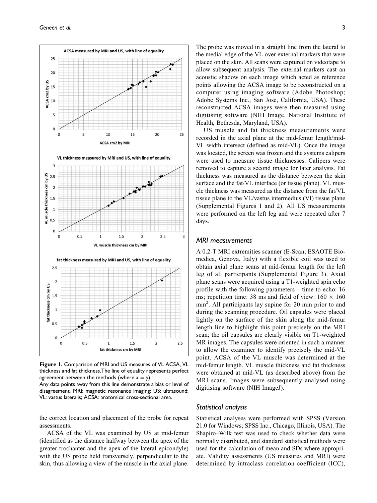

**Figure 1.** Comparison of MRI and US measures of VL ACSA, VL thickness and fat thickness.The line of equality represents perfect agreement between the methods (where  $x = y$ ).

Any data points away from this line demonstrate a bias or level of disagreement. MRI: magnetic resonance imaging; US: ultrasound; VL: vastus lateralis; ACSA: anatomical cross-sectional area.

the correct location and placement of the probe for repeat assessments.

ACSA of the VL was examined by US at mid-femur (identified as the distance halfway between the apex of the greater trochanter and the apex of the lateral epicondyle) with the US probe held transversely, perpendicular to the skin, thus allowing a view of the muscle in the axial plane.

The probe was moved in a straight line from the lateral to the medial edge of the VL over external markers that were placed on the skin. All scans were captured on videotape to allow subsequent analysis. The external markers cast an acoustic shadow on each image which acted as reference points allowing the ACSA image to be reconstructed on a computer using imaging software (Adobe Photoshop; Adobe Systems Inc., San Jose, California, USA). These reconstructed ACSA images were then measured using digitising software (NIH Image, National Institute of Health, Bethesda, Maryland, USA).

US muscle and fat thickness measurements were recorded in the axial plane at the mid-femur length/mid-VL width intersect (defined as mid-VL). Once the image was located, the screen was frozen and the systems calipers were used to measure tissue thicknesses. Calipers were removed to capture a second image for later analysis. Fat thickness was measured as the distance between the skin surface and the fat/VL interface (or tissue plane). VL muscle thickness was measured as the distance from the fat/VL tissue plane to the VL/vastus intermedius (VI) tissue plane (Supplemental Figures 1 and 2). All US measurements were performed on the left leg and were repeated after 7 days.

# *MRI measurements*

A 0.2-T MRI extremities scanner (E-Scan; ESAOTE Biomedica, Genova, Italy) with a flexible coil was used to obtain axial plane scans at mid-femur length for the left leg of all participants (Supplemental Figure 3). Axial plane scans were acquired using a T1-weighted spin echo profile with the following parameters – time to echo: 16 ms; repetition time: 38 ms and field of view:  $160 \times 160$ mm<sup>2</sup> . All participants lay supine for 20 min prior to and during the scanning procedure. Oil capsules were placed lightly on the surface of the skin along the mid-femur length line to highlight this point precisely on the MRI scan; the oil capsules are clearly visible on T1-weighted MR images. The capsules were oriented in such a manner to allow the examiner to identify precisely the mid-VL point. ACSA of the VL muscle was determined at the mid-femur length. VL muscle thickness and fat thickness were obtained at mid-VL (as described above) from the MRI scans. Images were subsequently analysed using digitising software (NIH ImageJ).

## *Statistical analysis*

Statistical analyses were performed with SPSS (Version 21.0 for Windows; SPSS Inc., Chicago, Illinois, USA). The Shapiro–Wilk test was used to check whether data were normally distributed, and standard statistical methods were used for the calculation of mean and SDs where appropriate. Validity assessments (US measures and MRI) were determined by intraclass correlation coefficient (ICC),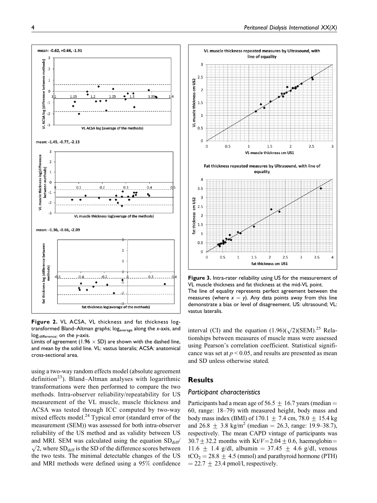

**Figure 2.** VL ACSA, VL thickness and fat thickness logtransformed Bland–Altman graphs; logaverage along the *x*-axis, and logjdifference<sup>j</sup> on the *y*-axis.

Limits of agreement (1.96  $\times$  SD) are shown with the dashed line, and mean by the solid line. VL: vastus lateralis; ACSA: anatomical cross-sectional area.

using a two-way random effects model (absolute agreement definition<sup>23</sup>). Bland–Altman analyses with logarithmic transformations were then performed to compare the two methods. Intra-observer reliability/repeatability for US measurement of the VL muscle, muscle thickness and ACSA was tested through ICC computed by two-way mixed effects model.<sup>24</sup> Typical error (standard error of the measurement (SEM)) was assessed for both intra-observer reliability of the US method and as validity between US and MRI. SEM was calculated using the equation  $SD_{diff}$  $\sqrt{2}$ , where SD<sub>diff</sub> is the SD of the difference scores between the two tests. The minimal detectable changes of the US and MRI methods were defined using a 95% confidence



**Figure 3.** Intra-rater reliability using US for the measurement of VL muscle thickness and fat thickness at the mid-VL point. The line of equality represents perfect agreement between the measures (where  $x = y$ ). Any data points away from this line demonstrate a bias or level of disagreement. US: ultrasound; VL: vastus lateralis.

interval (CI) and the equation  $(1.96)(\sqrt{2})(SEM)$ .<sup>25</sup> Relationships between measures of muscle mass were assessed using Pearson's correlation coefficient. Statistical significance was set at  $p < 0.05$ , and results are presented as mean and SD unless otherwise stated.

## **Results**

# *Participant characteristics*

Participants had a mean age of 56.5  $\pm$  16.7 years (median = 60, range: 18–79) with measured height, body mass and body mass index (BMI) of  $170.1 + 7.4$  cm,  $78.0 + 15.4$  kg and  $26.8 \pm 3.8$  kg/m<sup>2</sup> (median = 26.3, range: 19.9–38.7), respectively. The mean CAPD vintage of participants was 30.7  $\pm$  32.2 months with Kt/V=2.04  $\pm$  0.6, haemoglobin= 11.6  $\pm$  1.4 g/dl, albumin = 37.45  $\pm$  4.6 g/dl, venous  $tCO<sub>2</sub> = 28.8 \pm 4.5$  (mmol) and parathyroid hormone (PTH)  $= 22.7 \pm 23.4$  pmol/l, respectively.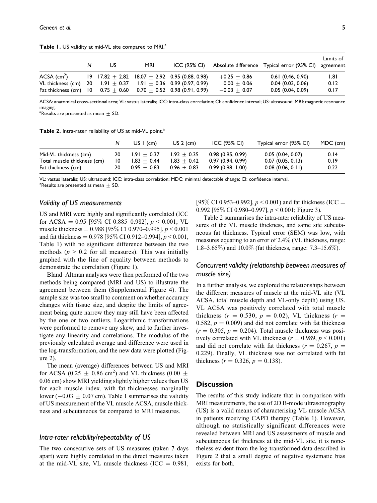|                                                                           | N | US | <b>MRI</b> | ICC (95% CI)                                     |                | Absolute difference Typical error (95% CI) | Limits of<br>agreement |
|---------------------------------------------------------------------------|---|----|------------|--------------------------------------------------|----------------|--------------------------------------------|------------------------|
| $ACSA$ (cm <sup>2</sup> )                                                 |   |    |            | $19$ 17.82 + 2.82 18.07 + 2.92 0.95 (0.88, 0.98) | $+0.25 + 0.86$ | 0.61(0.46, 0.90)                           | 1.81                   |
| VL thickness (cm) $20$ 1.91 + 0.37 1.91 + 0.36 0.99 (0.97, 0.99)          |   |    |            |                                                  | $0.00 + 0.06$  | 0.04(0.03, 0.06)                           | 0.12                   |
| Fat thickness (cm) $10$ 0.75 $\pm$ 0.60 0.70 $\pm$ 0.52 0.98 (0.91, 0.99) |   |    |            |                                                  | $-0.03 + 0.07$ | 0.05(0.04, 0.09)                           | 0.17                   |

Table 1. US validity at mid-VL site compared to MRI.<sup>a</sup>

ACSA: anatomical cross-sectional area; VL: vastus lateralis; ICC: intra-class correlation; CI: confidence interval; US: ultrasound; MRI: magnetic resonance imaging.

 $^{\circ}$ Results are presented as mean  $\pm$  SD.

Table 2. Intra-rater reliability of US at mid-VL point.<sup>a</sup>

|                             |    | US $\mid$ (cm) | US $2$ (cm)   | ICC (95% CI)     | Typical error (95% CI) | MDC (cm) |
|-----------------------------|----|----------------|---------------|------------------|------------------------|----------|
| Mid-VL thickness (cm)       | 20 | $1.91 + 0.37$  | $1.92 + 0.35$ | 0.98(0.95, 0.99) | 0.05(0.04, 0.07)       | 0.14     |
| Total muscle thickness (cm) | 10 | $1.83 + 0.44$  | $1.83 + 0.42$ | 0.97(0.94, 0.99) | 0.07(0.05, 0.13)       | 0.19     |
| Fat thickness (cm)          | 20 | $0.95 + 0.83$  | $0.96 + 0.83$ | 0.99(0.98, 1.00) | 0.08(0.06, 0.11)       | 0.22     |

VL: vastus lateralis; US: ultrasound; ICC: intra-class correlation; MDC: minimal detectable change; CI: confidence interval.  $^{\rm a}$ Results are presented as mean  $\pm$  SD.

# *Validity of US measurements*

US and MRI were highly and significantly correlated (ICC for ACSA = 0.95 [95% CI 0.885–0.982],  $p < 0.001$ ; VL muscle thickness =  $0.988$  [95\% CI 0.970-0.995],  $p \le 0.001$ and fat thickness =  $0.978$  [95% CI 0.912–0.994],  $p < 0.001$ , Table 1) with no significant difference between the two methods ( $p > 0.2$  for all measures). This was initially graphed with the line of equality between methods to demonstrate the correlation (Figure 1).

Bland–Altman analyses were then performed of the two methods being compared (MRI and US) to illustrate the agreement between them (Supplemental Figure 4). The sample size was too small to comment on whether accuracy changes with tissue size, and despite the limits of agreement being quite narrow they may still have been affected by the one or two outliers. Logarithmic transformations were performed to remove any skew, and to further investigate any linearity and correlations. The modulus of the previously calculated average and difference were used in the log-transformation, and the new data were plotted (Figure 2).

The mean (average) differences between US and MRI for ACSA (0.25  $\pm$  0.86 cm<sup>2</sup>) and VL thickness (0.00  $\pm$ 0.06 cm) show MRI yielding slightly higher values than US for each muscle index, with fat thicknesses marginally lower ( $-0.03 \pm 0.07$  cm). Table 1 summarises the validity of US measurement of the VL muscle ACSA, muscle thickness and subcutaneous fat compared to MRI measures.

## *Intra-rater reliability/repeatability of US*

The two consecutive sets of US measures (taken 7 days apart) were highly correlated in the direct measures taken at the mid-VL site, VL muscle thickness (ICC  $= 0.981$ ,

[95% CI 0.953–0.992],  $p < 0.001$ ) and fat thickness (ICC = 0.992 [95\% CI 0.980-0.997],  $p < 0.001$ ; Figure 3).

Table 2 summarises the intra-rater reliability of US measures of the VL muscle thickness, and same site subcutaneous fat thickness. Typical error (SEM) was low, with measures equating to an error of 2.4% (VL thickness, range: 1.8–3.65%) and 10.0% (fat thickness, range: 7.3–15.6%).

# *Concurrent validity (relationship between measures of muscle size)*

In a further analysis, we explored the relationships between the different measures of muscle at the mid-VL site (VL ACSA, total muscle depth and VL-only depth) using US. VL ACSA was positively correlated with total muscle thickness ( $r = 0.530$ ,  $p = 0.02$ ), VL thickness ( $r =$ 0.582,  $p = 0.009$ ) and did not correlate with fat thickness  $(r = 0.305, p = 0.204)$ . Total muscle thickness was positively correlated with VL thickness ( $r = 0.989$ ,  $p < 0.001$ ) and did not correlate with fat thickness ( $r = 0.267$ ,  $p =$ 0.229). Finally, VL thickness was not correlated with fat thickness ( $r = 0.326$ ,  $p = 0.138$ ).

# **Discussion**

The results of this study indicate that in comparison with MRI measurements, the use of 2D B-mode ultrasonography (US) is a valid means of characterising VL muscle ACSA in patients receiving CAPD therapy (Table 1). However, although no statistically significant differences were revealed between MRI and US assessments of muscle and subcutaneous fat thickness at the mid-VL site, it is nonetheless evident from the log-transformed data described in Figure 2 that a small degree of negative systematic bias exists for both.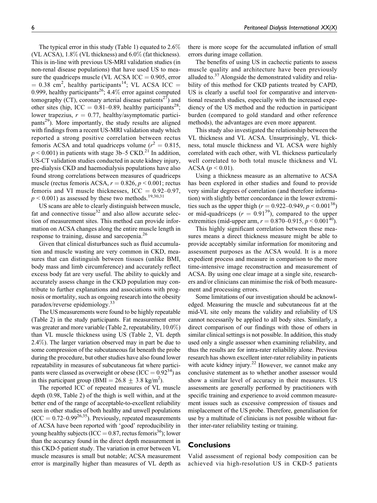The typical error in this study (Table 1) equated to  $2.6\%$ (VL ACSA),  $1.8\%$  (VL thickness) and  $6.0\%$  (fat thickness). This is in-line with previous US-MRI validation studies (in non-renal disease populations) that have used US to measure the quadriceps muscle (VL ACSA  $ICC = 0.905$ , error  $= 0.38$  cm<sup>2</sup>, healthy participants<sup>14</sup>; VL ACSA ICC  $=$ 0.999, healthy participants<sup>26</sup>;  $4.4\%$  error against computed tomography (CT), coronary arterial disease patients<sup>27</sup>) and other sites (hip, ICC =  $0.81-0.89$ , healthy participants<sup>28</sup>; lower trapezius,  $r = 0.77$ , healthy/asymptomatic participants<sup>29</sup>). More importantly, the study results are aligned with findings from a recent US-MRI validation study which reported a strong positive correlation between rectus femoris ACSA and total quadriceps volume ( $r^2 = 0.815$ ,  $p \le 0.001$ ) in patients with stage 3b–5 CKD.<sup>21</sup> In addition, US-CT validation studies conducted in acute kidney injury, pre-dialysis CKD and haemodialysis populations have also found strong correlations between measures of quadriceps muscle (rectus femoris ACSA,  $r = 0.826$ ,  $p < 0.001$ ; rectus femoris and VI muscle thicknesses, ICC  $= 0.92 - 0.97$ ,  $p \le 0.001$ ) as assessed by these two methods.<sup>19,30,31</sup>

US scans are able to clearly distinguish between muscle, fat and connective tissue $32$  and also allow accurate selection of measurement sites. This method can provide information on ACSA changes along the entire muscle length in response to training, disuse and sarcopenia.<sup>26</sup>

Given that clinical disturbances such as fluid accumulation and muscle wasting are very common in CKD, measures that can distinguish between tissues (unlike BMI, body mass and limb circumference) and accurately reflect excess body fat are very useful. The ability to quickly and accurately assess change in the CKD population may contribute to further explanations and associations with prognosis or mortality, such as ongoing research into the obesity paradox/reverse epidemiology.<sup>33</sup>

The US measurements were found to be highly repeatable (Table 2) in the study participants. Fat measurement error was greater and more variable (Table 2, repeatability, 10.0%) than VL muscle thickness using US (Table 2, VL depth 2.4%). The larger variation observed may in part be due to some compression of the subcutaneous fat beneath the probe during the procedure, but other studies have also found lower repeatability in measures of subcutaneous fat where participants were classed as overweight or obese (ICC =  $0.92^{34}$ ) as in this participant group (BMI =  $26.8 \pm 3.8$  kg/m<sup>2</sup>).

The reported ICC of repeated measures of VL muscle depth (0.98, Table 2) of the thigh is well within, and at the better end of the range of acceptable-to-excellent reliability seen in other studies of both healthy and unwell populations  $(ICC = 0.72-0.99^{26,35})$ . Previously, repeated measurements of ACSA have been reported with 'good' reproducibility in young healthy subjects (ICC =  $0.87$ , rectus femoris<sup>36</sup>); lower than the accuracy found in the direct depth measurement in this CKD-5 patient study. The variation in error between VL muscle measures is small but notable; ACSA measurement error is marginally higher than measures of VL depth as there is more scope for the accumulated inflation of small errors during image collation.

The benefits of using US in cachectic patients to assess muscle quality and architecture have been previously alluded to. $37$  Alongside the demonstrated validity and reliability of this method for CKD patients treated by CAPD, US is clearly a useful tool for comparative and interventional research studies, especially with the increased expediency of the US method and the reduction in participant burden (compared to gold standard and other reference methods), the advantages are even more apparent.

This study also investigated the relationship between the VL thickness and VL ACSA. Unsurprisingly, VL thickness, total muscle thickness and VL ACSA were highly correlated with each other, with VL thickness particularly well correlated to both total muscle thickness and VL ACSA ( $p < 0.01$ ).

Using a thickness measure as an alternative to ACSA has been explored in other studies and found to provide very similar degrees of correlation (and therefore information) with slightly better concordance in the lower extremities such as the upper thigh ( $r = 0.922{\text -}0.949$ ,  $p \le 0.001^{38}$ ) or mid-quadriceps ( $r = 0.91^{39}$ ), compared to the upper extremities (mid-upper arm,  $r = 0.870{\text -}0.915$ ,  $p < 0.001^{40}$ ).

This highly significant correlation between these measures means a direct thickness measure might be able to provide acceptably similar information for monitoring and assessment purposes as the ACSA would. It is a more expedient process and measure in comparison to the more time-intensive image reconstruction and measurement of ACSA. By using one clear image at a single site, researchers and/or clinicians can minimise the risk of both measurement and processing errors.

Some limitations of our investigation should be acknowledged. Measuring the muscle and subcutaneous fat at the mid-VL site only means the validity and reliability of US cannot necessarily be applied to all body sites. Similarly, a direct comparison of our findings with those of others in similar clinical settings is not possible. In addition, this study used only a single assessor when examining reliability, and thus the results are for intra-rater reliability alone. Previous research has shown excellent inter-rater reliability in patients with acute kidney injury.<sup>22</sup> However, we cannot make any conclusive statement as to whether another assessor would show a similar level of accuracy in their measures. US assessments are generally performed by practitioners with specific training and experience to avoid common measurement issues such as excessive compression of tissues and misplacement of the US probe. Therefore, generalisation for use by a multitude of clinicians is not possible without further inter-rater reliability testing or training.

# **Conclusions**

Valid assessment of regional body composition can be achieved via high-resolution US in CKD-5 patients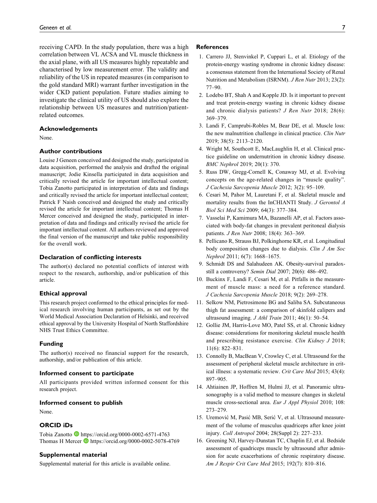receiving CAPD. In the study population, there was a high correlation between VL ACSA and VL muscle thickness in the axial plane, with all US measures highly repeatable and characterised by low measurement error. The validity and reliability of the US in repeated measures (in comparison to the gold standard MRI) warrant further investigation in the wider CKD patient population. Future studies aiming to investigate the clinical utility of US should also explore the relationship between US measures and nutrition/patientrelated outcomes.

#### **Acknowledgements**

None.

## **Author contributions**

Louise J Geneen conceived and designed the study, participated in data acquisition, performed the analysis and drafted the original manuscript; Jodie Kinsella participated in data acquisition and critically revised the article for important intellectual content; Tobia Zanotto participated in interpretation of data and findings and critically revised the article for important intellectual content; Patrick F Naish conceived and designed the study and critically revised the article for important intellectual content; Thomas H Mercer conceived and designed the study, participated in interpretation of data and findings and critically revised the article for important intellectual content. All authors reviewed and approved the final version of the manuscript and take public responsibility for the overall work.

#### **Declaration of conflicting interests**

The author(s) declared no potential conflicts of interest with respect to the research, authorship, and/or publication of this article.

#### **Ethical approval**

This research project conformed to the ethical principles for medical research involving human participants, as set out by the World Medical Association Declaration of Helsinki, and received ethical approval by the University Hospital of North Staffordshire NHS Trust Ethics Committee.

## **Funding**

The author(s) received no financial support for the research, authorship, and/or publication of this article.

## **Informed consent to participate**

All participants provided written informed consent for this research project.

## **Informed consent to publish**

None.

# **ORCID iDs**

Tobia Zanotto D<https://orcid.org/0000-0002-6571-4763> Thomas H Mercer **b** <https://orcid.org/0000-0002-5078-4769>

## **Supplemental material**

Supplemental material for this article is available online.

### **References**

- 1. Carrero JJ, Stenvinkel P, Cuppari L, et al. Etiology of the protein-energy wasting syndrome in chronic kidney disease: a consensus statement from the International Society of Renal Nutrition and Metabolism (ISRNM). J Ren Nutr 2013; 23(2): 77–90.
- 2. Lodebo BT, Shah A and Kopple JD. Is it important to prevent and treat protein-energy wasting in chronic kidney disease and chronic dialysis patients? J Ren Nutr 2018; 28(6): 369–379.
- 3. Landi F, Camprubi-Robles M, Bear DE, et al. Muscle loss: the new malnutrition challenge in clinical practice. Clin Nutr 2019; 38(5): 2113–2120.
- 4. Wright M, Southcott E, MacLaughlin H, et al. Clinical practice guideline on undernutrition in chronic kidney disease. BMC Nephrol 2019; 20(1): 370.
- 5. Russ DW, Gregg-Cornell K, Conaway MJ, et al. Evolving concepts on the age-related changes in "muscle quality". J Cachexia Sarcopenia Muscle 2012; 3(2): 95–109.
- 6. Cesari M, Pahor M, Lauretani F, et al. Skeletal muscle and mortality results from the InCHIANTI Study. J Gerontol A Biol Sci Med Sci 2009; 64(3): 377–384.
- 7. Vasselai P, Kamimura MA, Bazanelli AP, et al. Factors associated with body-fat changes in prevalent peritoneal dialysis patients. J Ren Nutr 2008; 18(4): 363–369.
- 8. Pellicano R, Strauss BJ, Polkinghorne KR, et al. Longitudinal body composition changes due to dialysis. Clin J Am Soc Nephrol 2011; 6(7): 1668–1675.
- 9. Schmidt DS and Salahudeen AK. Obesity-survival paradoxstill a controversy? Semin Dial 2007; 20(6): 486–492.
- 10. Buckinx F, Landi F, Cesari M, et al. Pitfalls in the measurement of muscle mass: a need for a reference standard. J Cachexia Sarcopenia Muscle 2018; 9(2): 269–278.
- 11. Selkow NM, Pietrosimone BG and Saliba SA. Subcutaneous thigh fat assessment: a comparison of skinfold calipers and ultrasound imaging. *J Athl Train* 2011; 46(1): 50-54.
- 12. Gollie JM, Harris-Love MO, Patel SS, et al. Chronic kidney disease: considerations for monitoring skeletal muscle health and prescribing resistance exercise. Clin Kidney J 2018; 11(6): 822–831.
- 13. Connolly B, MacBean V, Crowley C, et al. Ultrasound for the assessment of peripheral skeletal muscle architecture in critical illness: a systematic review. Crit Care Med 2015; 43(4): 897–905.
- 14. Ahtiainen JP, Hoffren M, Hulmi JJ, et al. Panoramic ultrasonography is a valid method to measure changes in skeletal muscle cross-sectional area. Eur J Appl Physiol 2010; 108: 273–279.
- 15. Uremović M, Pasić MB, Serić V, et al. Ultrasound measurement of the volume of musculus quadriceps after knee joint injury. Coll Antropol 2004; 28(Suppl 2): 227–233.
- 16. Greening NJ, Harvey-Dunstan TC, Chaplin EJ, et al. Bedside assessment of quadriceps muscle by ultrasound after admission for acute exacerbations of chronic respiratory disease. Am J Respir Crit Care Med 2015; 192(7): 810–816.